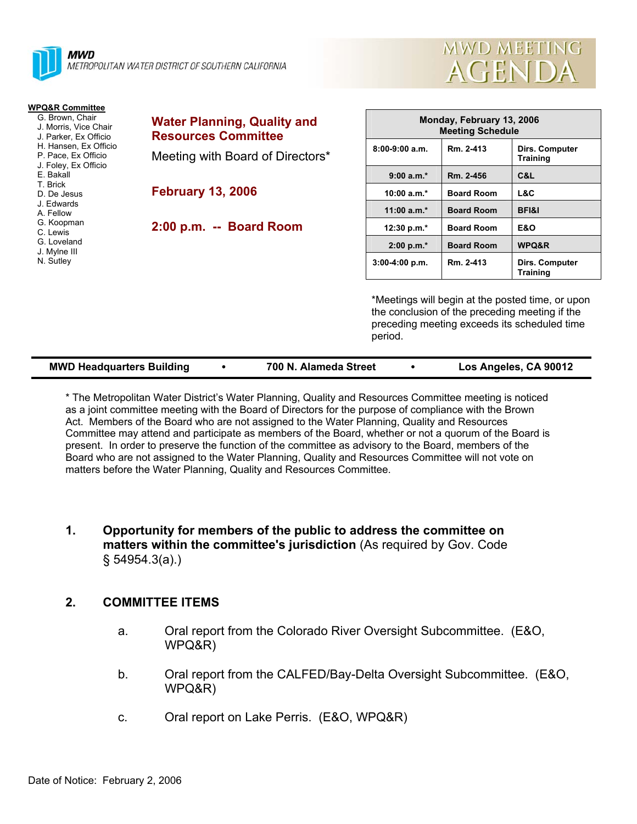

| <b>MWD MEETING</b> |  |
|--------------------|--|
| AGENDA             |  |

**Monday, February 13, 2006** 

**12F1&I 12:30 p.m.\* Board Room E&O 2:00 p.m.\* Board Room WPQ&R** 

**Dirs. Computer Training 9:00 a.m.\* Rm. 2-456 C&L** 

**Dirs. Computer Training** 

|                   | Monday, February 13, 2006<br><b>Meeting Schedule</b> |  |  |
|-------------------|------------------------------------------------------|--|--|
| Rm. 2-413         | Dirs.<br>Train                                       |  |  |
| Rm. 2-456         | C&L                                                  |  |  |
| <b>Board Room</b> | L&C                                                  |  |  |
| <b>Board Room</b> | BFI&                                                 |  |  |
| <b>Board Room</b> | <b>E&amp;O</b>                                       |  |  |
| <b>Board Room</b> | <b>WPQ</b>                                           |  |  |
| Rm. 2-413         | Dirs.<br>Train                                       |  |  |
|                   |                                                      |  |  |

ed time, or upon the conclusion of the preceding meeting if the preceding meeting exceeds its scheduled time period.

| <b>MWD Headquarters Building</b> | 700 N. Alameda Street | Los Angeles, CA 90012 |
|----------------------------------|-----------------------|-----------------------|
|                                  |                       |                       |

\* The Metropolitan Water District's Water Planning, Quality and Resources Committee meeting is noticed as a joint committee meeting with the Board of Directors for the purpose of compliance with the Brown Act. Members of the Board who are not assigned to the Water Planning, Quality and Resources Committee may attend and participate as members of the Board, whether or not a quorum of the Board is present. In order to preserve the function of the committee as advisory to the Board, members of the Board who are not assigned to the Water Planning, Quality and Resources Committee will not vote on matters before the Water Planning, Quality and Resources Committee.

**1. Opportunity for members of the public to address the committee on matters within the committee's jurisdiction** (As required by Gov. Code § 54954.3(a).)

# **2. COMMITTEE ITEMS**

- a. Oral report from the Colorado River Oversight Subcommittee. (E&O, WPQ&R)
- b. Oral report from the CALFED/Bay-Delta Oversight Subcommittee. (E&O, WPQ&R)
- c. Oral report on Lake Perris. (E&O, WPQ&R)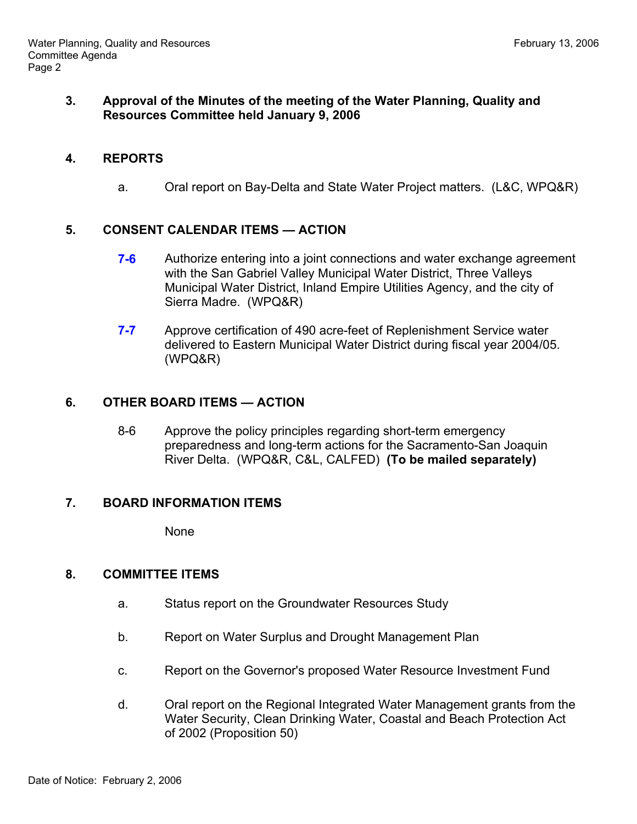# **3. Approval of the Minutes of the meeting of the Water Planning, Quality and Resources Committee held January 9, 2006**

#### **4. REPORTS**

a. Oral report on Bay-Delta and State Water Project matters. (L&C, WPQ&R)

# **5. CONSENT CALENDAR ITEMS — ACTION**

- **7-6** Authorize entering into a joint connections and water exchange agreement with the San Gabriel Valley Municipal Water District, Three Valleys Municipal Water District, Inland Empire Utilities Agency, and the city of Sierra Madre. (WPQ&R)
- **7-7** Approve certification of 490 acre-feet of Replenishment Service water delivered to Eastern Municipal Water District during fiscal year 2004/05. (WPQ&R)

# **6. OTHER BOARD ITEMS — ACTION**

 8-6 Approve the policy principles regarding short-term emergency preparedness and long-term actions for the Sacramento-San Joaquin River Delta. (WPQ&R, C&L, CALFED) **(To be mailed separately)**

# **7. BOARD INFORMATION ITEMS**

None

# **8. COMMITTEE ITEMS**

- a. Status report on the Groundwater Resources Study
- b. Report on Water Surplus and Drought Management Plan
- c. Report on the Governor's proposed Water Resource Investment Fund
- d. Oral report on the Regional Integrated Water Management grants from the Water Security, Clean Drinking Water, Coastal and Beach Protection Act of 2002 (Proposition 50)